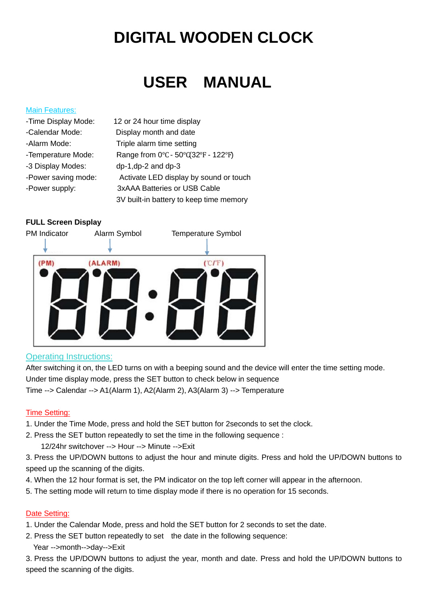# **DIGITAL WOODEN CLOCK**

## **USER MANUAL**

#### Main Features:

| -Time Display Mode: | 12 or 24 hour time display              |
|---------------------|-----------------------------------------|
| -Calendar Mode:     | Display month and date                  |
| -Alarm Mode:        | Triple alarm time setting               |
| -Temperature Mode:  | Range from 0°C - 50°C(32°F - 122°F)     |
| -3 Display Modes:   | dp-1,dp-2 and dp-3                      |
| -Power saving mode: | Activate LED display by sound or touch  |
| -Power supply:      | 3xAAA Batteries or USB Cable            |
|                     | 3V built-in battery to keep time memory |

## **FULL Screen Display**



## Operating Instructions:

After switching it on, the LED turns on with a beeping sound and the device will enter the time setting mode. Under time display mode, press the SET button to check below in sequence Time --> Calendar --> A1(Alarm 1), A2(Alarm 2), A3(Alarm 3) --> Temperature

## Time Setting:

- 1. Under the Time Mode, press and hold the SET button for 2seconds to set the clock.
- 2. Press the SET button repeatedly to set the time in the following sequence :
	- 12/24hr switchover --> Hour --> Minute -->Exit

3. Press the UP/DOWN buttons to adjust the hour and minute digits. Press and hold the UP/DOWN buttons to speed up the scanning of the digits.

- 4. When the 12 hour format is set, the PM indicator on the top left corner will appear in the afternoon.
- 5. The setting mode will return to time display mode if there is no operation for 15 seconds.

#### Date Setting:

- 1. Under the Calendar Mode, press and hold the SET button for 2 seconds to set the date.
- 2. Press the SET button repeatedly to set the date in the following sequence:
	- Year -->month-->day-->Exit

3. Press the UP/DOWN buttons to adjust the year, month and date. Press and hold the UP/DOWN buttons to speed the scanning of the digits.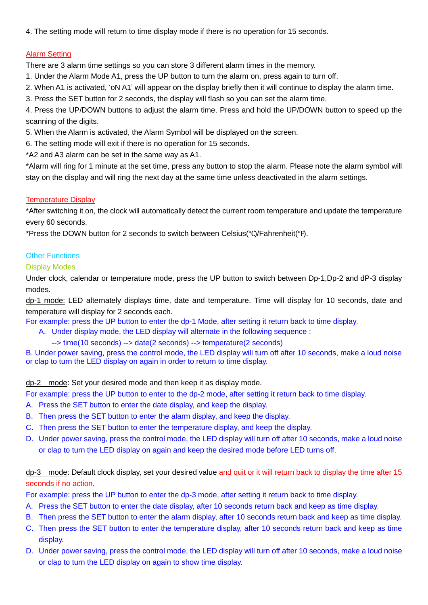4. The setting mode will return to time display mode if there is no operation for 15 seconds.

#### Alarm Setting

There are 3 alarm time settings so you can store 3 different alarm times in the memory.

1. Under the Alarm Mode A1, press the UP button to turn the alarm on, press again to turn off.

2. When A1 is activated, 'oN A1' will appear on the display briefly then it will continue to display the alarm time.

3. Press the SET button for 2 seconds, the display will flash so you can set the alarm time.

4. Press the UP/DOWN buttons to adjust the alarm time. Press and hold the UP/DOWN button to speed up the scanning of the digits.

5. When the Alarm is activated, the Alarm Symbol will be displayed on the screen.

6. The setting mode will exit if there is no operation for 15 seconds.

\*A2 and A3 alarm can be set in the same way as A1.

\*Alarm will ring for 1 minute at the set time, press any button to stop the alarm. Please note the alarm symbol will stay on the display and will ring the next day at the same time unless deactivated in the alarm settings.

#### Temperature Display

\*After switching it on, the clock will automatically detect the current room temperature and update the temperature every 60 seconds.

\*Press the DOWN button for 2 seconds to switch between Celsius(℃)/Fahrenheit(℉).

#### **Other Functions**

#### Display Modes

Under clock, calendar or temperature mode, press the UP button to switch between Dp-1,Dp-2 and dP-3 display modes.

dp-1 mode: LED alternately displays time, date and temperature. Time will display for 10 seconds, date and temperature will display for 2 seconds each.

For example: press the UP button to enter the dp-1 Mode, after setting it return back to time display.

- A. Under display mode, the LED display will alternate in the following sequence :
	- --> time(10 seconds) --> date(2 seconds) --> temperature(2 seconds)

B. Under power saving, press the control mode, the LED display will turn off after 10 seconds, make a loud noise or clap to turn the LED display on again in order to return to time display.

#### dp-2 mode: Set your desired mode and then keep it as display mode.

For example: press the UP button to enter to the dp-2 mode, after setting it return back to time display.

- A. Press the SET button to enter the date display, and keep the display.
- B. Then press the SET button to enter the alarm display, and keep the display.
- C. Then press the SET button to enter the temperature display, and keep the display.
- D. Under power saving, press the control mode, the LED display will turn off after 10 seconds, make a loud noise or clap to turn the LED display on again and keep the desired mode before LED turns off.

## dp-3 mode: Default clock display, set your desired value and quit or it will return back to display the time after 15 seconds if no action.

For example: press the UP button to enter the dp-3 mode, after setting it return back to time display.

- A. Press the SET button to enter the date display, after 10 seconds return back and keep as time display.
- B. Then press the SET button to enter the alarm display, after 10 seconds return back and keep as time display.
- C. Then press the SET button to enter the temperature display, after 10 seconds return back and keep as time display.
- D. Under power saving, press the control mode, the LED display will turn off after 10 seconds, make a loud noise or clap to turn the LED display on again to show time display.